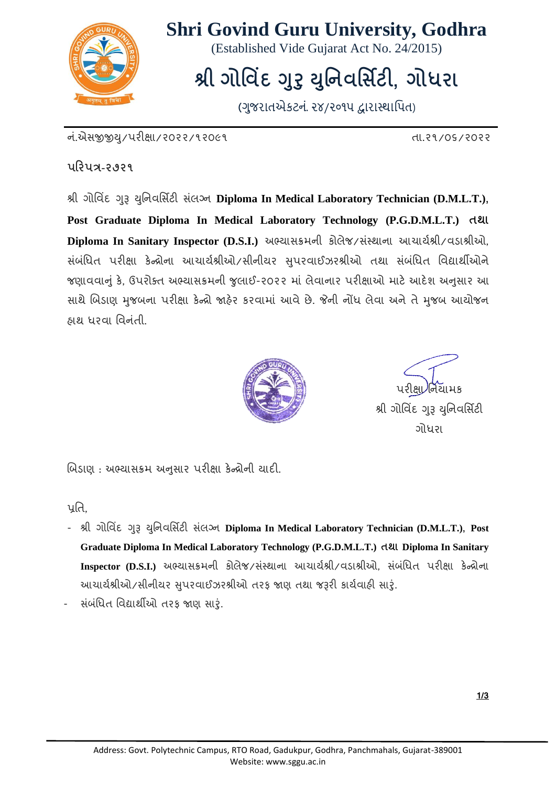

#### **Shri Govind Guru University, Godhra**

(Established Vide Gujarat Act No. 24/2015)

## **શ્રી ગોવ િંદ ગરુુયવુિ વસ િ ટી, ગોધરા**

(ગુજરાતએકટનં. ૨૪/૨૦૧૫ દ્વારાસ્થાપિત)

ન.ંએસજીજીય/ુ પરીક્ષા/૨૦૨૨/૧૨૦૯૧ તા.૨૧/૦૬/૨૦૨૨

**પરરપત્ર-૨૭૨૧**

શ્રી ગોવ િંદ ગરૂુ યવુન વસિટી સ ંલગ્ન **Diploma In Medical Laboratory Technician (D.M.L.T.), Post Graduate Diploma In Medical Laboratory Technology (P.G.D.M.L.T.) તથા**  Diploma In Sanitary Inspector (D.S.I.) અભ્યાસક્રમની કોલેજ/સંસ્થાના આચાર્યશ્રી/વડાશ્રીઓ, સંબંધિત પરીક્ષા કેન્દ્રોના આચાર્યશ્રીઓ/સીનીયર સપરવાઈઝરશ્રીઓ તથા સંબંધિત વિદ્યાર્થીઓને જણાવવાનું કે, ઉપરોક્ત અભ્યાસક્રમની જુલાઈ-૨૦૨૨ માં લેવાનાર પરીક્ષાઓ માટે આદેશ અનુસાર આ સાથે બિડાણ મુજબના પરીક્ષા કેન્દ્રો જાહેર કરવામાં આવે છે. જેની નોંધ લેવા અને તે મુજબ આયોજન હાથ ધરવા વિનંતી.



પરીક્ષા/નિયામક શ્રી ગોવિંદ ગરૂ યુનિવર્સિટી ગોિરા

બિડાણ : અભ્યાસક્રમ અનુસાર પરીક્ષા કેન્દ્રોની યાદી.

પતિ,

- શ્રી ગોવ િંદ ગરૂુ યવુન વસિટી સ ંલગ્ન **Diploma In Medical Laboratory Technician (D.M.L.T.), Post Graduate Diploma In Medical Laboratory Technology (P.G.D.M.L.T.) તથા Diploma In Sanitary Inspector (D.S.I.)** અભ્યાસક્રમની કોલેજ/સંસ્થાના આચાર્યશ્રી/વડાશ્રીઓ, સંબંધિત પરીક્ષા કેન્દ્રોના આચાર્યશ્રીઓ/સીનીયર સુપરવાઈઝરશ્રીઓ તરફ જાણ તથા જરૂરી કાર્યવાઠી સારું.
- સ ંબ ંવિત વ દ્યાથીઓ તરફ જાણ સારું.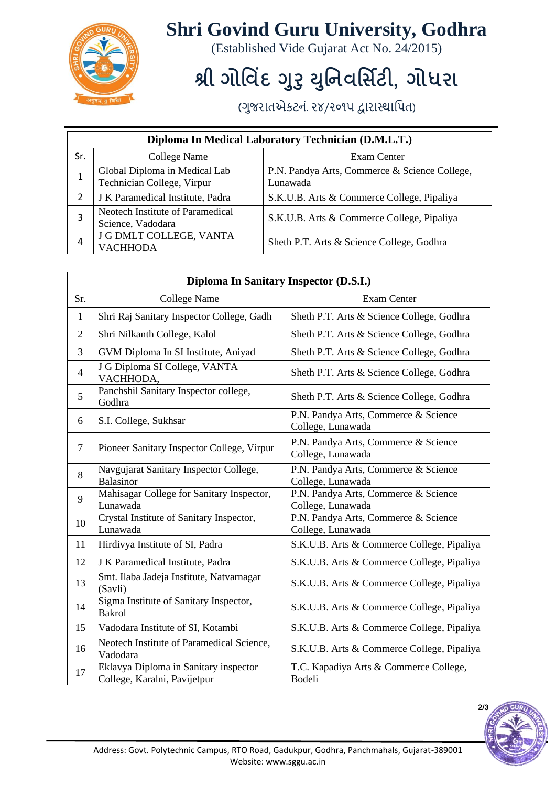

### **Shri Govind Guru University, Godhra**

(Established Vide Gujarat Act No. 24/2015)

# **શ્રી ગોવ િંદ ગરુુયવુિ વસ િ ટી, ગોધરા**

(ગુજરાતએકટનં. ૨૪/૨૦૧૫ દ્વારાસ્થાપિત)

| Diploma In Medical Laboratory Technician (D.M.L.T.) |                                                             |                                                           |  |  |
|-----------------------------------------------------|-------------------------------------------------------------|-----------------------------------------------------------|--|--|
| Sr.                                                 | College Name                                                | Exam Center                                               |  |  |
| 1                                                   | Global Diploma in Medical Lab<br>Technician College, Virpur | P.N. Pandya Arts, Commerce & Science College,<br>Lunawada |  |  |
| 2                                                   | J K Paramedical Institute, Padra                            | S.K.U.B. Arts & Commerce College, Pipaliya                |  |  |
| 3                                                   | Neotech Institute of Paramedical<br>Science, Vadodara       | S.K.U.B. Arts & Commerce College, Pipaliya                |  |  |
| 4                                                   | J G DMLT COLLEGE, VANTA<br><b>VACHHODA</b>                  | Sheth P.T. Arts & Science College, Godhra                 |  |  |

| Diploma In Sanitary Inspector (D.S.I.) |                                                                       |                                                           |  |  |
|----------------------------------------|-----------------------------------------------------------------------|-----------------------------------------------------------|--|--|
| Sr.                                    | <b>College Name</b>                                                   | <b>Exam Center</b>                                        |  |  |
| 1                                      | Shri Raj Sanitary Inspector College, Gadh                             | Sheth P.T. Arts & Science College, Godhra                 |  |  |
| $\overline{2}$                         | Shri Nilkanth College, Kalol                                          | Sheth P.T. Arts & Science College, Godhra                 |  |  |
| 3                                      | GVM Diploma In SI Institute, Aniyad                                   | Sheth P.T. Arts & Science College, Godhra                 |  |  |
| $\overline{4}$                         | J G Diploma SI College, VANTA<br>VACHHODA,                            | Sheth P.T. Arts & Science College, Godhra                 |  |  |
| 5                                      | Panchshil Sanitary Inspector college,<br>Godhra                       | Sheth P.T. Arts & Science College, Godhra                 |  |  |
| 6                                      | S.I. College, Sukhsar                                                 | P.N. Pandya Arts, Commerce & Science<br>College, Lunawada |  |  |
| $\overline{7}$                         | Pioneer Sanitary Inspector College, Virpur                            | P.N. Pandya Arts, Commerce & Science<br>College, Lunawada |  |  |
| 8                                      | Navgujarat Sanitary Inspector College,<br>Balasinor                   | P.N. Pandya Arts, Commerce & Science<br>College, Lunawada |  |  |
| 9                                      | Mahisagar College for Sanitary Inspector,<br>Lunawada                 | P.N. Pandya Arts, Commerce & Science<br>College, Lunawada |  |  |
| 10                                     | Crystal Institute of Sanitary Inspector,<br>Lunawada                  | P.N. Pandya Arts, Commerce & Science<br>College, Lunawada |  |  |
| 11                                     | Hirdivya Institute of SI, Padra                                       | S.K.U.B. Arts & Commerce College, Pipaliya                |  |  |
| 12                                     | J K Paramedical Institute, Padra                                      | S.K.U.B. Arts & Commerce College, Pipaliya                |  |  |
| 13                                     | Smt. Ilaba Jadeja Institute, Natvarnagar<br>(Savli)                   | S.K.U.B. Arts & Commerce College, Pipaliya                |  |  |
| 14                                     | Sigma Institute of Sanitary Inspector,<br><b>Bakrol</b>               | S.K.U.B. Arts & Commerce College, Pipaliya                |  |  |
| 15                                     | Vadodara Institute of SI, Kotambi                                     | S.K.U.B. Arts & Commerce College, Pipaliya                |  |  |
| 16                                     | Neotech Institute of Paramedical Science,<br>Vadodara                 | S.K.U.B. Arts & Commerce College, Pipaliya                |  |  |
| 17                                     | Eklavya Diploma in Sanitary inspector<br>College, Karalni, Pavijetpur | T.C. Kapadiya Arts & Commerce College,<br>Bodeli          |  |  |